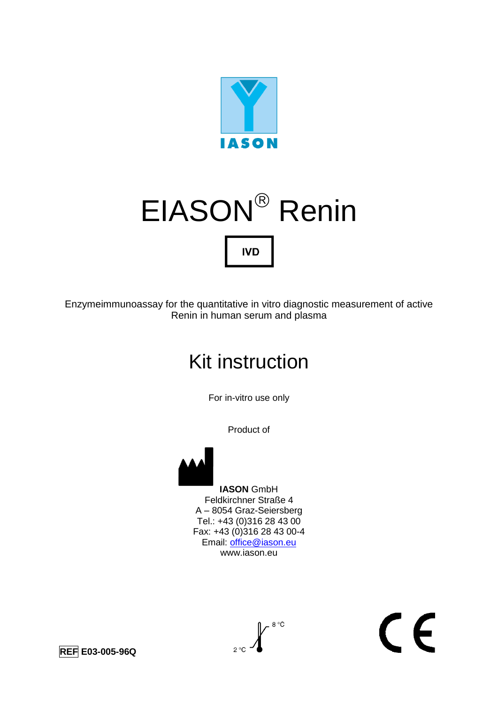

## EIASON<sup>®</sup> Renin **IVD**

Enzymeimmunoassay for the quantitative in vitro diagnostic measurement of active Renin in human serum and plasma

## Kit instruction

For in-vitro use only

Product of



 **IASON** GmbH Feldkirchner Straße 4 A – 8054 Graz-Seiersberg Tel.: +43 (0)316 28 43 00 Fax: +43 (0)316 28 43 00-4 Email: [office@iason.eu](mailto:office@iason.eu) www.iason.eu



# $\epsilon$

**REF E03-005-96Q**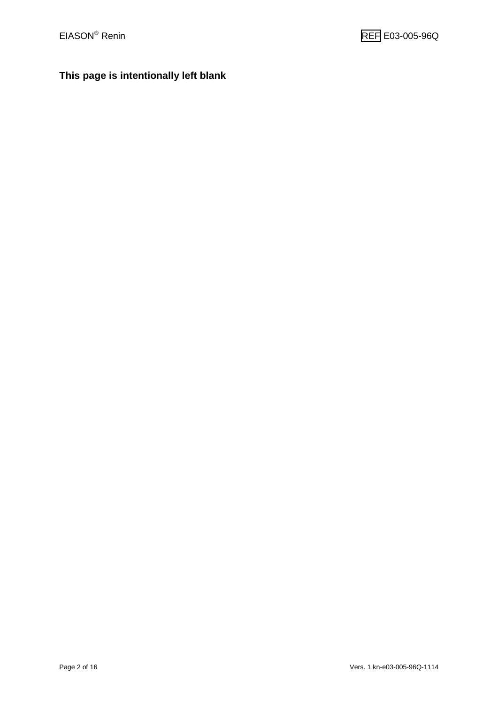#### **This page is intentionally left blank**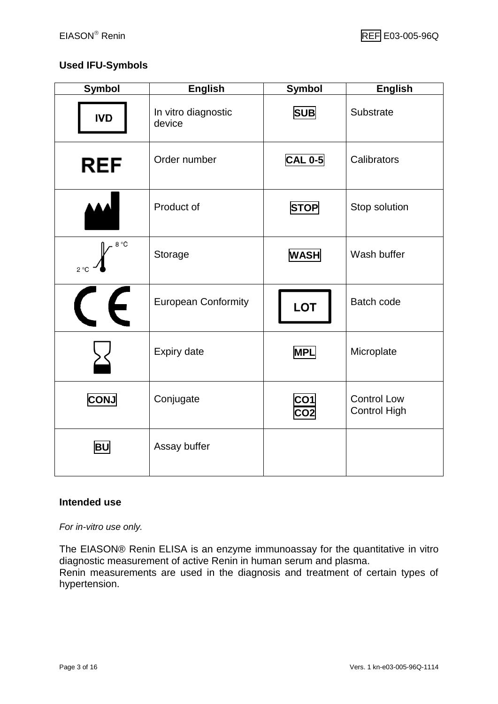#### **Used IFU-Symbols**

| <b>Symbol</b>          | <b>English</b>                | <b>Symbol</b>  | <b>English</b>                            |
|------------------------|-------------------------------|----------------|-------------------------------------------|
| <b>IVD</b>             | In vitro diagnostic<br>device | <b>SUB</b>     | Substrate                                 |
| <b>REF</b>             | Order number                  | <b>CAL 0-5</b> | Calibrators                               |
|                        | Product of                    | <b>STOP</b>    | Stop solution                             |
| 8 °C<br>$2^{\circ}C$   | Storage                       | <b>WASH</b>    | Wash buffer                               |
| F<br>$\mathsf{\Gamma}$ | <b>European Conformity</b>    | <b>LOT</b>     | <b>Batch code</b>                         |
|                        | Expiry date                   | <b>MPL</b>     | Microplate                                |
| <b>CONJ</b>            | Conjugate                     | CO1<br>ጋጋ      | <b>Control Low</b><br><b>Control High</b> |
| <b>BU</b>              | Assay buffer                  |                |                                           |

#### **Intended use**

*For in-vitro use only.*

The EIASON® Renin ELISA is an enzyme immunoassay for the quantitative in vitro diagnostic measurement of active Renin in human serum and plasma. Renin measurements are used in the diagnosis and treatment of certain types of hypertension.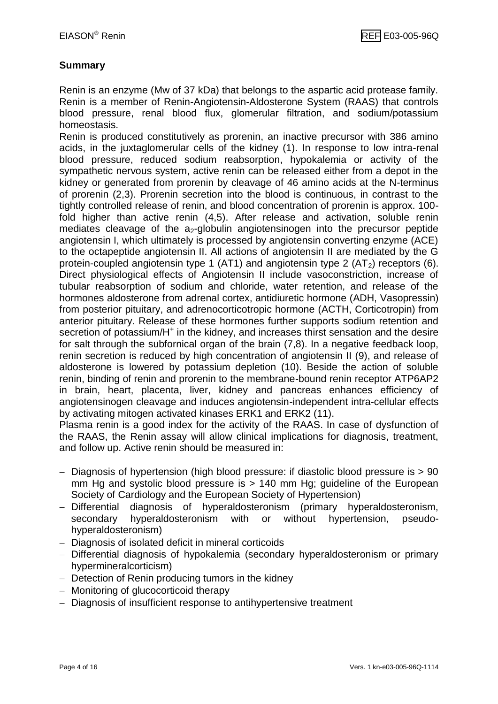#### **Summary**

Renin is an enzyme (Mw of 37 kDa) that belongs to the aspartic acid protease family. Renin is a member of Renin-Angiotensin-Aldosterone System (RAAS) that controls blood pressure, renal blood flux, glomerular filtration, and sodium/potassium homeostasis.

Renin is produced constitutively as prorenin, an inactive precursor with 386 amino acids, in the juxtaglomerular cells of the kidney (1). In response to low intra-renal blood pressure, reduced sodium reabsorption, hypokalemia or activity of the sympathetic nervous system, active renin can be released either from a depot in the kidney or generated from prorenin by cleavage of 46 amino acids at the N-terminus of prorenin (2,3). Prorenin secretion into the blood is continuous, in contrast to the tightly controlled release of renin, and blood concentration of prorenin is approx. 100 fold higher than active renin (4,5). After release and activation, soluble renin mediates cleavage of the  $a_2$ -globulin angiotensinogen into the precursor peptide angiotensin I, which ultimately is processed by angiotensin converting enzyme (ACE) to the octapeptide angiotensin II. All actions of angiotensin II are mediated by the G protein-coupled angiotensin type 1 (AT1) and angiotensin type 2 (AT<sub>2</sub>) receptors (6). Direct physiological effects of Angiotensin II include vasoconstriction, increase of tubular reabsorption of sodium and chloride, water retention, and release of the hormones aldosterone from adrenal cortex, antidiuretic hormone (ADH, Vasopressin) from posterior pituitary, and adrenocorticotropic hormone (ACTH, Corticotropin) from anterior pituitary. Release of these hormones further supports sodium retention and secretion of potassium/H<sup>+</sup> in the kidney, and increases thirst sensation and the desire for salt through the subfornical organ of the brain (7,8). In a negative feedback loop, renin secretion is reduced by high concentration of angiotensin II (9), and release of aldosterone is lowered by potassium depletion (10). Beside the action of soluble renin, binding of renin and prorenin to the membrane-bound renin receptor ATP6AP2 in brain, heart, placenta, liver, kidney and pancreas enhances efficiency of angiotensinogen cleavage and induces angiotensin-independent intra-cellular effects by activating mitogen activated kinases ERK1 and ERK2 (11).

Plasma renin is a good index for the activity of the RAAS. In case of dysfunction of the RAAS, the Renin assay will allow clinical implications for diagnosis, treatment, and follow up. Active renin should be measured in:

- $-$  Diagnosis of hypertension (high blood pressure: if diastolic blood pressure is  $> 90$ mm Hg and systolic blood pressure is  $> 140$  mm Hg; guideline of the European Society of Cardiology and the European Society of Hypertension)
- Differential diagnosis of hyperaldosteronism (primary hyperaldosteronism, secondary hyperaldosteronism with or without hypertension, pseudohyperaldosteronism)
- Diagnosis of isolated deficit in mineral corticoids
- Differential diagnosis of hypokalemia (secondary hyperaldosteronism or primary hypermineralcorticism)
- Detection of Renin producing tumors in the kidney
- Monitoring of glucocorticoid therapy
- Diagnosis of insufficient response to antihypertensive treatment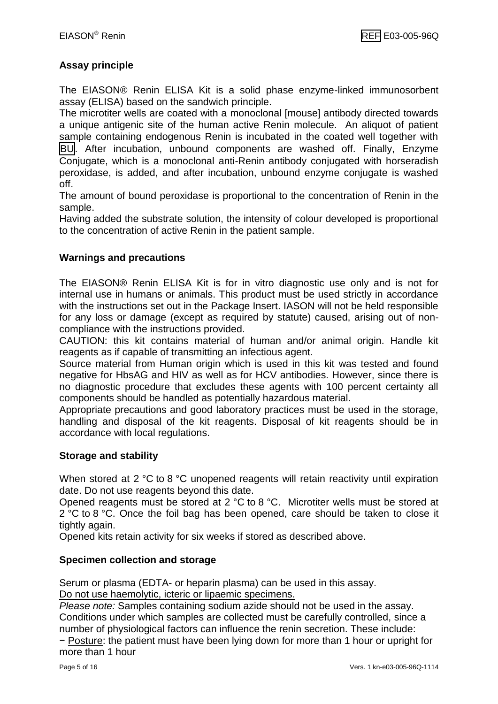#### **Assay principle**

The EIASON® Renin ELISA Kit is a solid phase enzyme-linked immunosorbent assay (ELISA) based on the sandwich principle.

The microtiter wells are coated with a monoclonal [mouse] antibody directed towards a unique antigenic site of the human active Renin molecule. An aliquot of patient sample containing endogenous Renin is incubated in the coated well together with BU. After incubation, unbound components are washed off. Finally, Enzyme Conjugate, which is a monoclonal anti-Renin antibody conjugated with horseradish peroxidase, is added, and after incubation, unbound enzyme conjugate is washed off.

The amount of bound peroxidase is proportional to the concentration of Renin in the sample.

Having added the substrate solution, the intensity of colour developed is proportional to the concentration of active Renin in the patient sample.

#### **Warnings and precautions**

The EIASON® Renin ELISA Kit is for in vitro diagnostic use only and is not for internal use in humans or animals. This product must be used strictly in accordance with the instructions set out in the Package Insert. IASON will not be held responsible for any loss or damage (except as required by statute) caused, arising out of noncompliance with the instructions provided.

CAUTION: this kit contains material of human and/or animal origin. Handle kit reagents as if capable of transmitting an infectious agent.

Source material from Human origin which is used in this kit was tested and found negative for HbsAG and HIV as well as for HCV antibodies. However, since there is no diagnostic procedure that excludes these agents with 100 percent certainty all components should be handled as potentially hazardous material.

Appropriate precautions and good laboratory practices must be used in the storage, handling and disposal of the kit reagents. Disposal of kit reagents should be in accordance with local regulations.

#### **Storage and stability**

When stored at 2 °C to 8 °C unopened reagents will retain reactivity until expiration date. Do not use reagents beyond this date.

Opened reagents must be stored at 2 °C to 8 °C. Microtiter wells must be stored at 2 °C to 8 °C. Once the foil bag has been opened, care should be taken to close it tightly again.

Opened kits retain activity for six weeks if stored as described above.

#### **Specimen collection and storage**

Serum or plasma (EDTA- or heparin plasma) can be used in this assay. Do not use haemolytic, icteric or lipaemic specimens.

*Please note:* Samples containing sodium azide should not be used in the assay. Conditions under which samples are collected must be carefully controlled, since a number of physiological factors can influence the renin secretion. These include: − Posture: the patient must have been lying down for more than 1 hour or upright for

more than 1 hour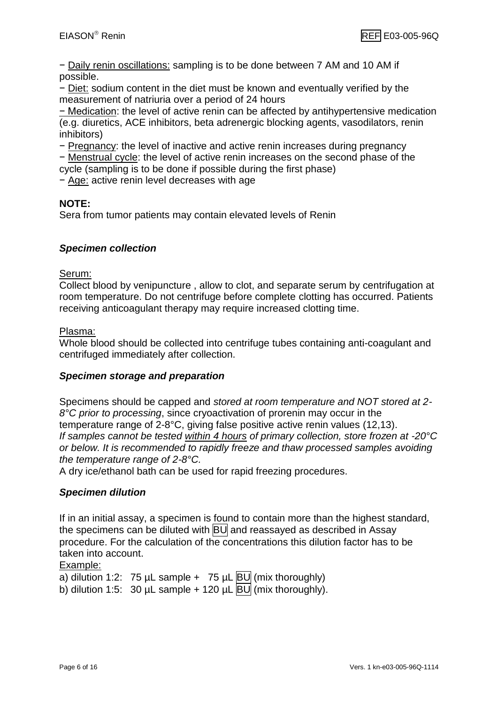− Daily renin oscillations: sampling is to be done between 7 AM and 10 AM if possible.

− Diet: sodium content in the diet must be known and eventually verified by the measurement of natriuria over a period of 24 hours

− Medication: the level of active renin can be affected by antihypertensive medication (e.g. diuretics, ACE inhibitors, beta adrenergic blocking agents, vasodilators, renin inhibitors)

− Pregnancy: the level of inactive and active renin increases during pregnancy

− Menstrual cycle: the level of active renin increases on the second phase of the cycle (sampling is to be done if possible during the first phase)

− Age: active renin level decreases with age

#### **NOTE:**

Sera from tumor patients may contain elevated levels of Renin

#### *Specimen collection*

#### Serum:

Collect blood by venipuncture , allow to clot, and separate serum by centrifugation at room temperature. Do not centrifuge before complete clotting has occurred. Patients receiving anticoagulant therapy may require increased clotting time.

#### Plasma:

Whole blood should be collected into centrifuge tubes containing anti-coagulant and centrifuged immediately after collection.

#### *Specimen storage and preparation*

Specimens should be capped and *stored at room temperature and NOT stored at 2- 8°C prior to processing*, since cryoactivation of prorenin may occur in the temperature range of 2-8°C, giving false positive active renin values (12,13). *If samples cannot be tested within 4 hours of primary collection, store frozen at -20°C or below. It is recommended to rapidly freeze and thaw processed samples avoiding the temperature range of 2-8°C.* 

A dry ice/ethanol bath can be used for rapid freezing procedures.

#### *Specimen dilution*

If in an initial assay, a specimen is found to contain more than the highest standard, the specimens can be diluted with BU and reassayed as described in Assay procedure. For the calculation of the concentrations this dilution factor has to be taken into account.

#### Example:

a) dilution 1:2: 75 µL sample  $+$  75 µL  $BU$  (mix thoroughly) b) dilution 1:5: 30  $\mu$ L sample + 120  $\mu$ L  $\boxed{BU}$  (mix thoroughly).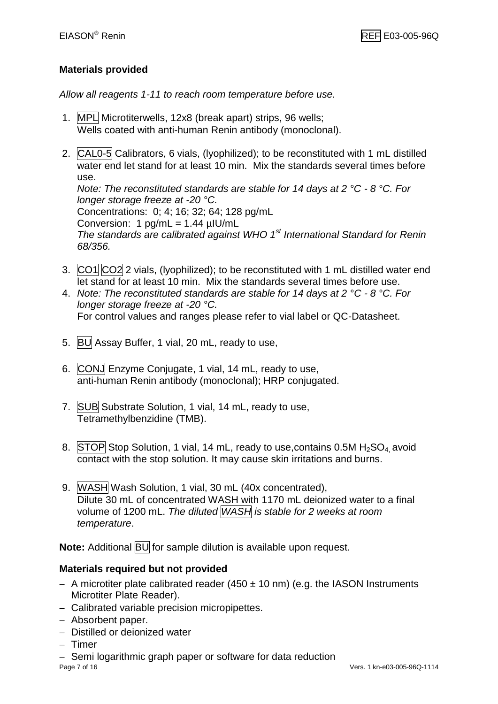#### **Materials provided**

*Allow all reagents 1-11 to reach room temperature before use.*

- 1. MPL Microtiterwells, 12x8 (break apart) strips, 96 wells; Wells coated with anti-human Renin antibody (monoclonal).
- 2. CAL0-5 Calibrators, 6 vials, (lyophilized); to be reconstituted with 1 mL distilled water end let stand for at least 10 min. Mix the standards several times before use. *Note: The reconstituted standards are stable for 14 days at 2 °C - 8 °C. For longer storage freeze at -20 °C.* Concentrations: 0; 4; 16; 32; 64; 128 pg/mL Conversion:  $1$  pg/mL =  $1.44$  µIU/mL *The standards are calibrated against WHO 1st International Standard for Renin 68/356.*
- 3. CO1 CO2 2 vials, (Ivophilized); to be reconstituted with 1 mL distilled water end let stand for at least 10 min. Mix the standards several times before use.
- 4. *Note: The reconstituted standards are stable for 14 days at 2 °C - 8 °C. For longer storage freeze at -20 °C.* For control values and ranges please refer to vial label or QC-Datasheet.
- 5. BU Assay Buffer, 1 vial, 20 mL, ready to use,
- 6. CONJ Enzyme Conjugate, 1 vial, 14 mL, ready to use, anti-human Renin antibody (monoclonal); HRP conjugated.
- 7. SUB Substrate Solution, 1 vial, 14 mL, ready to use, Tetramethylbenzidine (TMB).
- 8. STOP Stop Solution, 1 vial, 14 mL, ready to use, contains  $0.5M H<sub>2</sub>SO<sub>4</sub>$  avoid contact with the stop solution. It may cause skin irritations and burns.
- 9. WASH Wash Solution, 1 vial, 30 mL (40x concentrated), Dilute 30 mL of concentrated WASH with 1170 mL deionized water to a final volume of 1200 mL. *The diluted WASH is stable for 2 weeks at room temperature*.

**Note:** Additional **BU** for sample dilution is available upon request.

#### **Materials required but not provided**

- A microtiter plate calibrated reader (450  $\pm$  10 nm) (e.g. the IASON Instruments Microtiter Plate Reader).
- Calibrated variable precision micropipettes.
- Absorbent paper.
- Distilled or deionized water
- $-$  Timer
- Page 7 of 16 Vers. 1 kn-e03-005-96Q-1114 - Semi logarithmic graph paper or software for data reduction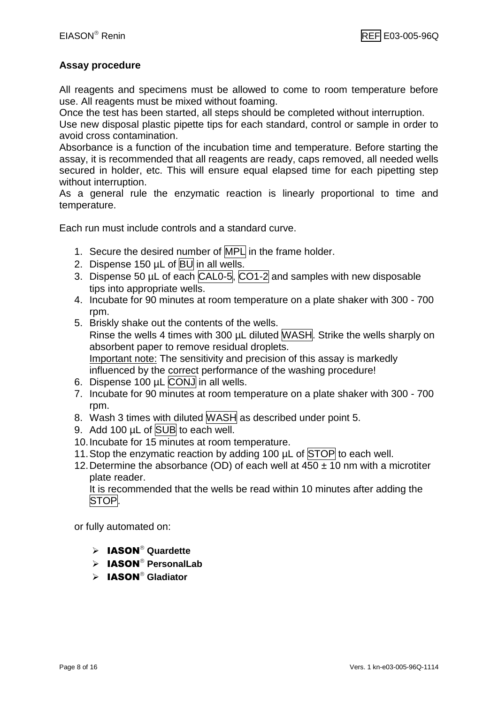#### **Assay procedure**

All reagents and specimens must be allowed to come to room temperature before use. All reagents must be mixed without foaming.

Once the test has been started, all steps should be completed without interruption.

Use new disposal plastic pipette tips for each standard, control or sample in order to avoid cross contamination.

Absorbance is a function of the incubation time and temperature. Before starting the assay, it is recommended that all reagents are ready, caps removed, all needed wells secured in holder, etc. This will ensure equal elapsed time for each pipetting step without interruption.

As a general rule the enzymatic reaction is linearly proportional to time and temperature.

Each run must include controls and a standard curve.

- 1. Secure the desired number of MPL in the frame holder.
- 2. Dispense 150 µL of **BU** in all wells.
- 3. Dispense 50 µL of each CAL0-5, CO1-2 and samples with new disposable tips into appropriate wells.
- 4. Incubate for 90 minutes at room temperature on a plate shaker with 300 700 rpm.
- 5. Briskly shake out the contents of the wells. Rinse the wells 4 times with 300 µL diluted WASH. Strike the wells sharply on absorbent paper to remove residual droplets. Important note: The sensitivity and precision of this assay is markedly influenced by the correct performance of the washing procedure!
- 6. Dispense 100 µL CONJ in all wells.
- 7. Incubate for 90 minutes at room temperature on a plate shaker with 300 700 rpm.
- 8. Wash 3 times with diluted WASH as described under point 5.
- 9. Add 100 µL of SUB to each well.
- 10.Incubate for 15 minutes at room temperature.
- 11. Stop the enzymatic reaction by adding 100 µL of STOP to each well.
- 12. Determine the absorbance (OD) of each well at  $450 \pm 10$  nm with a microtiter plate reader.

It is recommended that the wells be read within 10 minutes after adding the STOP.

or fully automated on:

- > IASON<sup>®</sup> Quardette
- > IASON<sup>®</sup> PersonalLab
- > IASON<sup>®</sup> Gladiator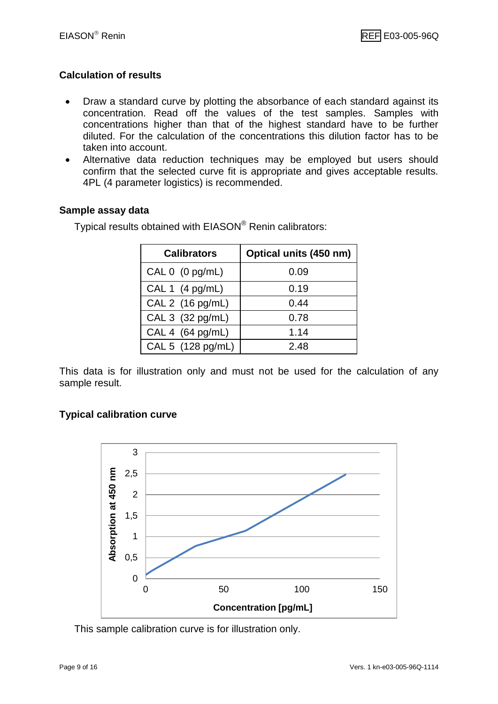#### **Calculation of results**

- Draw a standard curve by plotting the absorbance of each standard against its concentration. Read off the values of the test samples. Samples with concentrations higher than that of the highest standard have to be further diluted. For the calculation of the concentrations this dilution factor has to be taken into account.
- Alternative data reduction techniques may be employed but users should confirm that the selected curve fit is appropriate and gives acceptable results. 4PL (4 parameter logistics) is recommended.

#### **Sample assay data**

| <b>Calibrators</b> | Optical units (450 nm) |
|--------------------|------------------------|
| CAL 0 (0 pg/mL)    | 0.09                   |
| CAL 1 $(4$ pg/mL)  | 0.19                   |
| CAL 2 (16 pg/mL)   | 0.44                   |
| CAL 3 (32 pg/mL)   | 0.78                   |
| CAL 4 (64 pg/mL)   | 1.14                   |
| CAL 5 (128 pg/mL)  | 2.48                   |

Typical results obtained with EIASON® Renin calibrators:

This data is for illustration only and must not be used for the calculation of any sample result.

#### **Typical calibration curve**



This sample calibration curve is for illustration only.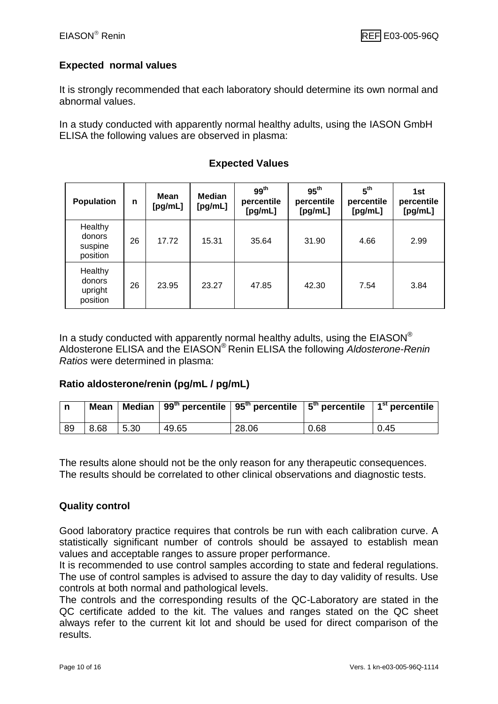#### **Expected normal values**

It is strongly recommended that each laboratory should determine its own normal and abnormal values.

In a study conducted with apparently normal healthy adults, using the IASON GmbH ELISA the following values are observed in plasma:

| <b>Population</b>                        | n  | Mean<br>[pg/mL] | <b>Median</b><br>[pg/mL] | 99 <sup>th</sup><br>percentile<br>[pg/mL] | 95 <sup>th</sup><br>percentile<br>[pg/mL] | $5^{\text{th}}$<br>percentile<br>[pg/mL] | 1st<br>percentile<br>[pg/mL] |
|------------------------------------------|----|-----------------|--------------------------|-------------------------------------------|-------------------------------------------|------------------------------------------|------------------------------|
| Healthy<br>donors<br>suspine<br>position | 26 | 17.72           | 15.31                    | 35.64                                     | 31.90                                     | 4.66                                     | 2.99                         |
| Healthy<br>donors<br>upright<br>position | 26 | 23.95           | 23.27                    | 47.85                                     | 42.30                                     | 7.54                                     | 3.84                         |

#### **Expected Values**

In a study conducted with apparently normal healthy adults, using the  $EIASON^{\circledcirc}$ Aldosterone ELISA and the EIASON® Renin ELISA the following *Aldosterone-Renin Ratios* were determined in plasma:

#### **Ratio aldosterone/renin (pg/mL / pg/mL)**

|    |      |        |       | Mean   Median   99 <sup>th</sup> percentile   95 <sup>th</sup> percentile   5 <sup>th</sup> percentile   1 <sup>st</sup> percentile |      |      |
|----|------|--------|-------|-------------------------------------------------------------------------------------------------------------------------------------|------|------|
| 89 | 8.68 | 1,5.30 | 49.65 | 28.06                                                                                                                               | 0.68 | 0.45 |

The results alone should not be the only reason for any therapeutic consequences. The results should be correlated to other clinical observations and diagnostic tests.

#### **Quality control**

Good laboratory practice requires that controls be run with each calibration curve. A statistically significant number of controls should be assayed to establish mean values and acceptable ranges to assure proper performance.

It is recommended to use control samples according to state and federal regulations. The use of control samples is advised to assure the day to day validity of results. Use controls at both normal and pathological levels.

The controls and the corresponding results of the QC-Laboratory are stated in the QC certificate added to the kit. The values and ranges stated on the QC sheet always refer to the current kit lot and should be used for direct comparison of the results.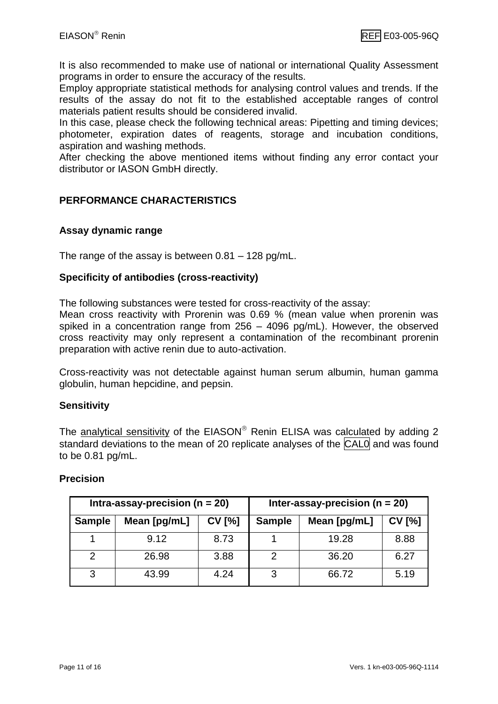It is also recommended to make use of national or international Quality Assessment programs in order to ensure the accuracy of the results.

Employ appropriate statistical methods for analysing control values and trends. If the results of the assay do not fit to the established acceptable ranges of control materials patient results should be considered invalid.

In this case, please check the following technical areas: Pipetting and timing devices; photometer, expiration dates of reagents, storage and incubation conditions, aspiration and washing methods.

After checking the above mentioned items without finding any error contact your distributor or IASON GmbH directly.

#### **PERFORMANCE CHARACTERISTICS**

#### **Assay dynamic range**

The range of the assay is between 0.81 – 128 pg/mL.

#### **Specificity of antibodies (cross-reactivity)**

The following substances were tested for cross-reactivity of the assay:

Mean cross reactivity with Prorenin was 0.69 % (mean value when prorenin was spiked in a concentration range from 256 – 4096 pg/mL). However, the observed cross reactivity may only represent a contamination of the recombinant prorenin preparation with active renin due to auto-activation.

Cross-reactivity was not detectable against human serum albumin, human gamma globulin, human hepcidine, and pepsin.

#### **Sensitivity**

The analytical sensitivity of the  $EIASON^{\circledcirc}$  Renin ELISA was calculated by adding 2 standard deviations to the mean of 20 replicate analyses of the CAL0 and was found to be 0.81 pg/mL.

|               | Intra-assay-precision ( $n = 20$ ) |      | Inter-assay-precision ( $n = 20$ ) |              |       |  |
|---------------|------------------------------------|------|------------------------------------|--------------|-------|--|
| <b>Sample</b> | <b>CV [%]</b><br>Mean [pg/mL]      |      | <b>Sample</b>                      | Mean [pg/mL] | CV[%] |  |
|               | 9.12                               | 8.73 |                                    | 19.28        | 8.88  |  |
| $\mathcal{P}$ | 26.98                              | 3.88 |                                    | 36.20        | 6.27  |  |
| 3             | 43.99                              | 4.24 | 3                                  | 66.72        | 5.19  |  |

#### **Precision**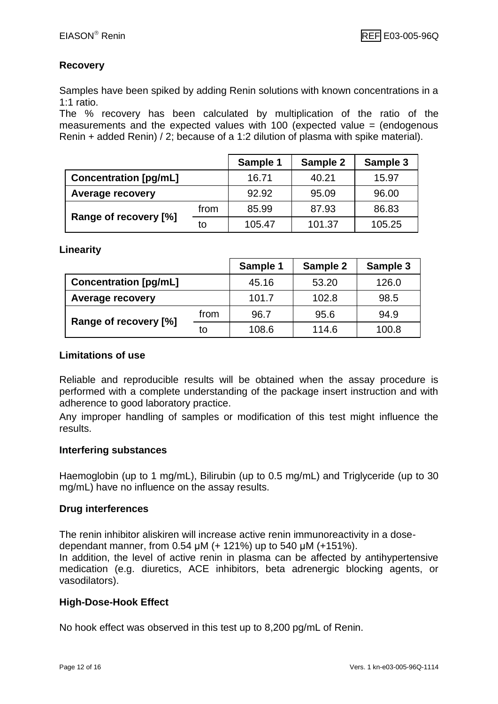#### **Recovery**

Samples have been spiked by adding Renin solutions with known concentrations in a 1:1 ratio.

The % recovery has been calculated by multiplication of the ratio of the measurements and the expected values with 100 (expected value  $=$  (endogenous) Renin + added Renin) / 2; because of a 1:2 dilution of plasma with spike material).

|                              |      | Sample 1 | Sample 2 | Sample 3 |
|------------------------------|------|----------|----------|----------|
| <b>Concentration [pg/mL]</b> |      | 16.71    | 40.21    | 15.97    |
| <b>Average recovery</b>      |      | 92.92    | 95.09    | 96.00    |
| Range of recovery [%]        | from | 85.99    | 87.93    | 86.83    |
|                              | to   | 105.47   | 101.37   | 105.25   |

#### **Linearity**

|                              |      | Sample 1 | Sample 2 | Sample 3 |
|------------------------------|------|----------|----------|----------|
| <b>Concentration [pg/mL]</b> |      | 45.16    | 53.20    | 126.0    |
| Average recovery             |      | 101.7    | 102.8    | 98.5     |
| Range of recovery [%]        | from | 96.7     | 95.6     | 94.9     |
|                              | to   | 108.6    | 114.6    | 100.8    |

#### **Limitations of use**

Reliable and reproducible results will be obtained when the assay procedure is performed with a complete understanding of the package insert instruction and with adherence to good laboratory practice.

Any improper handling of samples or modification of this test might influence the results.

#### **Interfering substances**

Haemoglobin (up to 1 mg/mL), Bilirubin (up to 0.5 mg/mL) and Triglyceride (up to 30 mg/mL) have no influence on the assay results.

#### **Drug interferences**

The renin inhibitor aliskiren will increase active renin immunoreactivity in a dosedependant manner, from 0.54 μM (+ 121%) up to 540 μM (+151%).

In addition, the level of active renin in plasma can be affected by antihypertensive medication (e.g. diuretics, ACE inhibitors, beta adrenergic blocking agents, or vasodilators).

#### **High-Dose-Hook Effect**

No hook effect was observed in this test up to 8,200 pg/mL of Renin.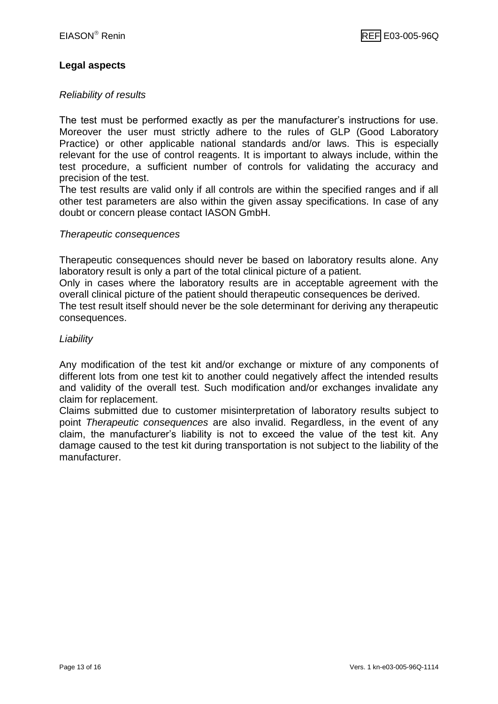#### **Legal aspects**

#### *Reliability of results*

The test must be performed exactly as per the manufacturer's instructions for use. Moreover the user must strictly adhere to the rules of GLP (Good Laboratory Practice) or other applicable national standards and/or laws. This is especially relevant for the use of control reagents. It is important to always include, within the test procedure, a sufficient number of controls for validating the accuracy and precision of the test.

The test results are valid only if all controls are within the specified ranges and if all other test parameters are also within the given assay specifications. In case of any doubt or concern please contact IASON GmbH.

#### *Therapeutic consequences*

Therapeutic consequences should never be based on laboratory results alone. Any laboratory result is only a part of the total clinical picture of a patient.

Only in cases where the laboratory results are in acceptable agreement with the overall clinical picture of the patient should therapeutic consequences be derived.

The test result itself should never be the sole determinant for deriving any therapeutic consequences.

#### *Liability*

Any modification of the test kit and/or exchange or mixture of any components of different lots from one test kit to another could negatively affect the intended results and validity of the overall test. Such modification and/or exchanges invalidate any claim for replacement.

Claims submitted due to customer misinterpretation of laboratory results subject to point *Therapeutic consequences* are also invalid. Regardless, in the event of any claim, the manufacturer's liability is not to exceed the value of the test kit. Any damage caused to the test kit during transportation is not subject to the liability of the manufacturer.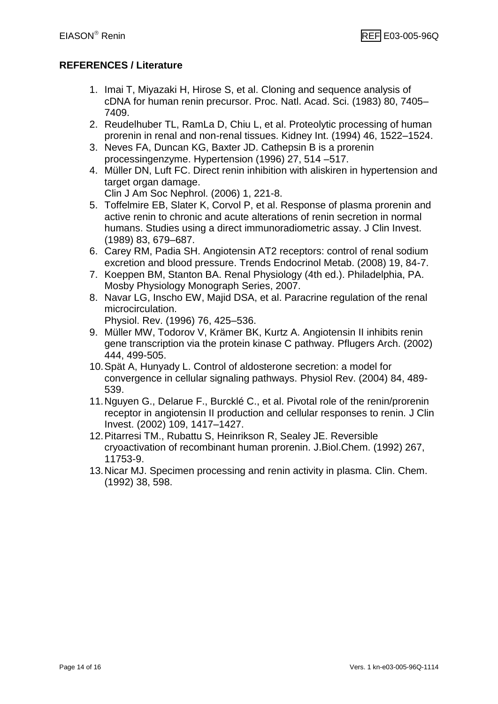#### **REFERENCES / Literature**

- 1. Imai T, Miyazaki H, Hirose S, et al. Cloning and sequence analysis of cDNA for human renin precursor. Proc. Natl. Acad. Sci. (1983) 80, 7405– 7409.
- 2. Reudelhuber TL, RamLa D, Chiu L, et al. Proteolytic processing of human prorenin in renal and non-renal tissues. Kidney Int. (1994) 46, 1522–1524.
- 3. Neves FA, Duncan KG, Baxter JD. Cathepsin B is a prorenin processingenzyme. Hypertension (1996) 27, 514 –517.
- 4. Müller DN, Luft FC. Direct renin inhibition with aliskiren in hypertension and target organ damage. Clin J Am Soc Nephrol. (2006) 1, 221-8.
- 5. Toffelmire EB, Slater K, Corvol P, et al. Response of plasma prorenin and active renin to chronic and acute alterations of renin secretion in normal humans. Studies using a direct immunoradiometric assay. J Clin Invest. (1989) 83, 679–687.
- 6. Carey RM, Padia SH. Angiotensin AT2 receptors: control of renal sodium excretion and blood pressure. Trends Endocrinol Metab. (2008) 19, 84-7.
- 7. Koeppen BM, Stanton BA. Renal Physiology (4th ed.). Philadelphia, PA. Mosby Physiology Monograph Series, 2007.
- 8. Navar LG, Inscho EW, Majid DSA, et al. Paracrine regulation of the renal microcirculation.

Physiol. Rev. (1996) 76, 425–536.

- 9. Müller MW, Todorov V, Krämer BK, Kurtz A. Angiotensin II inhibits renin gene transcription via the protein kinase C pathway. Pflugers Arch. (2002) 444, 499-505.
- 10.Spät A, Hunyady L. Control of aldosterone secretion: a model for convergence in cellular signaling pathways. Physiol Rev. (2004) 84, 489- 539.
- 11.Nguyen G., Delarue F., Burcklé C., et al. Pivotal role of the renin/prorenin receptor in angiotensin II production and cellular responses to renin. J Clin Invest. (2002) 109, 1417–1427.
- 12.Pitarresi TM., Rubattu S, Heinrikson R, Sealey JE. Reversible cryoactivation of recombinant human prorenin. J.Biol.Chem. (1992) 267, 11753-9.
- 13.Nicar MJ. Specimen processing and renin activity in plasma. Clin. Chem. (1992) 38, 598.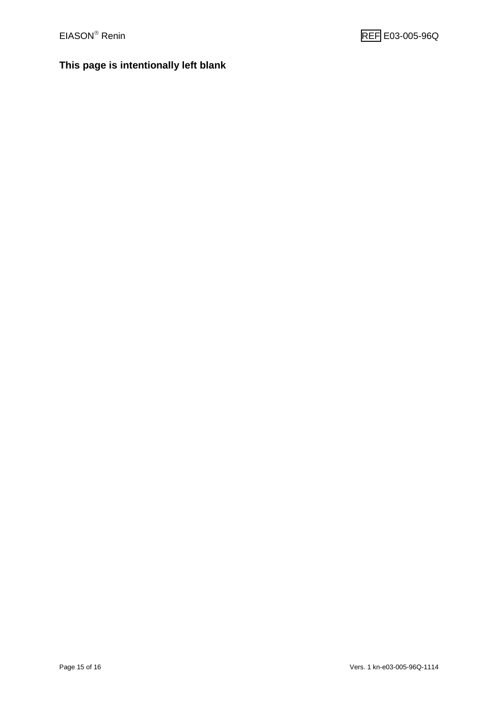#### **This page is intentionally left blank**